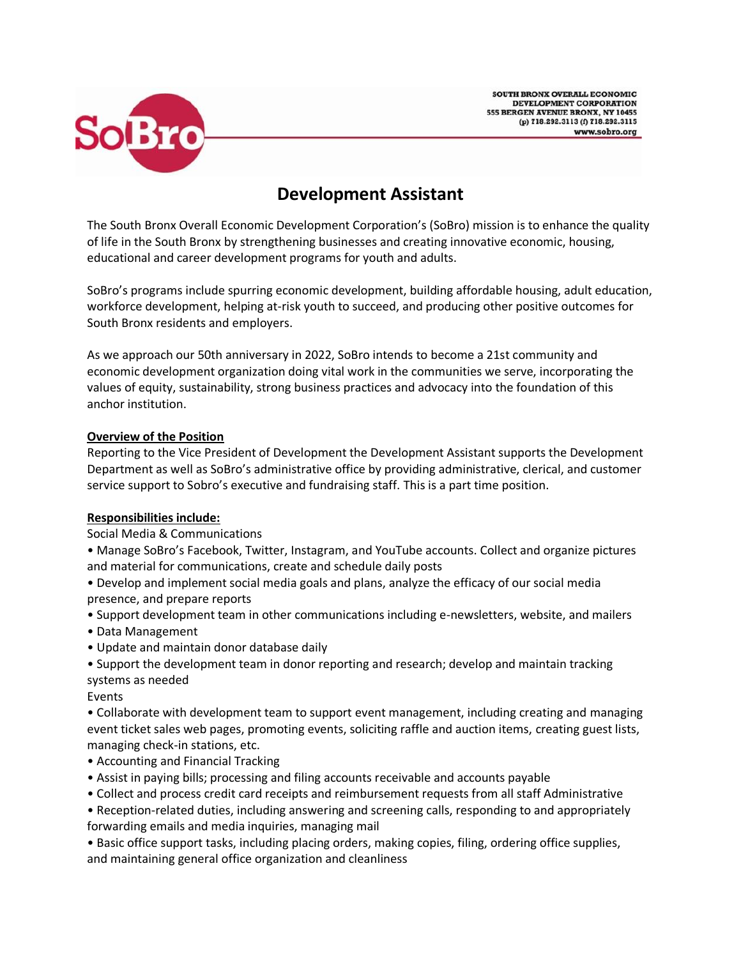



# **Development Assistant**

The South Bronx Overall Economic Development Corporation's (SoBro) mission is to enhance the quality of life in the South Bronx by strengthening businesses and creating innovative economic, housing, educational and career development programs for youth and adults.

SoBro's programs include spurring economic development, building affordable housing, adult education, workforce development, helping at-risk youth to succeed, and producing other positive outcomes for South Bronx residents and employers.

As we approach our 50th anniversary in 2022, SoBro intends to become a 21st community and economic development organization doing vital work in the communities we serve, incorporating the values of equity, sustainability, strong business practices and advocacy into the foundation of this anchor institution.

### **Overview of the Position**

Reporting to the Vice President of Development the Development Assistant supports the Development Department as well as SoBro's administrative office by providing administrative, clerical, and customer service support to Sobro's executive and fundraising staff. This is a part time position.

### **Responsibilities include:**

Social Media & Communications

• Manage SoBro's Facebook, Twitter, Instagram, and YouTube accounts. Collect and organize pictures and material for communications, create and schedule daily posts

• Develop and implement social media goals and plans, analyze the efficacy of our social media presence, and prepare reports

- Support development team in other communications including e-newsletters, website, and mailers
- Data Management
- Update and maintain donor database daily
- Support the development team in donor reporting and research; develop and maintain tracking systems as needed
- Events

• Collaborate with development team to support event management, including creating and managing event ticket sales web pages, promoting events, soliciting raffle and auction items, creating guest lists, managing check-in stations, etc.

- Accounting and Financial Tracking
- Assist in paying bills; processing and filing accounts receivable and accounts payable
- Collect and process credit card receipts and reimbursement requests from all staff Administrative

• Reception-related duties, including answering and screening calls, responding to and appropriately forwarding emails and media inquiries, managing mail

• Basic office support tasks, including placing orders, making copies, filing, ordering office supplies, and maintaining general office organization and cleanliness